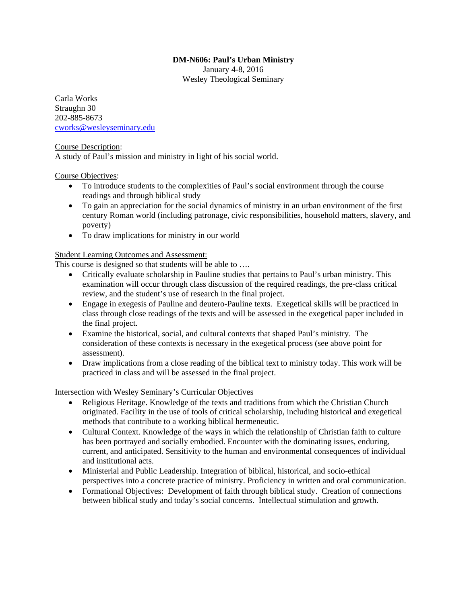## **DM-N606: Paul's Urban Ministry**

January 4-8, 2016 Wesley Theological Seminary

Carla Works Straughn 30 202-885-8673 cworks@wesleyseminary.edu

## Course Description:

A study of Paul's mission and ministry in light of his social world.

# Course Objectives:

- To introduce students to the complexities of Paul's social environment through the course readings and through biblical study
- To gain an appreciation for the social dynamics of ministry in an urban environment of the first century Roman world (including patronage, civic responsibilities, household matters, slavery, and poverty)
- To draw implications for ministry in our world

# Student Learning Outcomes and Assessment:

This course is designed so that students will be able to ….

- Critically evaluate scholarship in Pauline studies that pertains to Paul's urban ministry. This examination will occur through class discussion of the required readings, the pre-class critical review, and the student's use of research in the final project.
- Engage in exegesis of Pauline and deutero-Pauline texts. Exegetical skills will be practiced in class through close readings of the texts and will be assessed in the exegetical paper included in the final project.
- Examine the historical, social, and cultural contexts that shaped Paul's ministry. The consideration of these contexts is necessary in the exegetical process (see above point for assessment).
- Draw implications from a close reading of the biblical text to ministry today. This work will be practiced in class and will be assessed in the final project.

Intersection with Wesley Seminary's Curricular Objectives

- Religious Heritage. Knowledge of the texts and traditions from which the Christian Church originated. Facility in the use of tools of critical scholarship, including historical and exegetical methods that contribute to a working biblical hermeneutic.
- Cultural Context. Knowledge of the ways in which the relationship of Christian faith to culture has been portrayed and socially embodied. Encounter with the dominating issues, enduring, current, and anticipated. Sensitivity to the human and environmental consequences of individual and institutional acts.
- Ministerial and Public Leadership. Integration of biblical, historical, and socio-ethical perspectives into a concrete practice of ministry. Proficiency in written and oral communication.
- Formational Objectives: Development of faith through biblical study. Creation of connections between biblical study and today's social concerns. Intellectual stimulation and growth.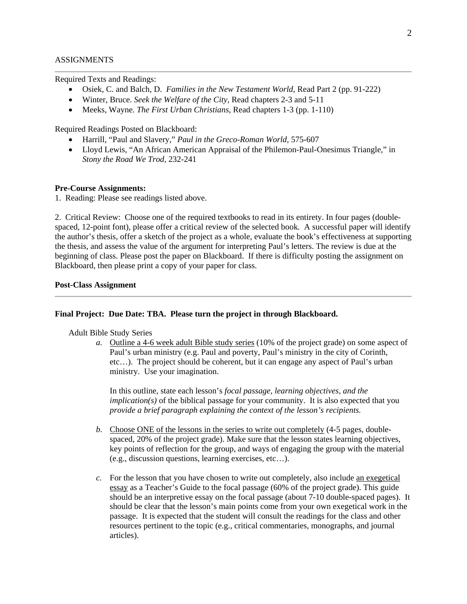#### ASSIGNMENTS

Required Texts and Readings:

- Osiek, C. and Balch, D. *Families in the New Testament World*, Read Part 2 (pp. 91-222)
- Winter, Bruce. *Seek the Welfare of the City,* Read chapters 2-3 and 5-11
- Meeks, Wayne. *The First Urban Christians*, Read chapters 1-3 (pp. 1-110)

Required Readings Posted on Blackboard:

- Harrill, "Paul and Slavery," *Paul in the Greco-Roman World,* 575-607
- Lloyd Lewis, "An African American Appraisal of the Philemon-Paul-Onesimus Triangle," in *Stony the Road We Trod*, 232-241

#### **Pre-Course Assignments:**

1. Reading: Please see readings listed above.

2. Critical Review: Choose one of the required textbooks to read in its entirety. In four pages (doublespaced, 12-point font), please offer a critical review of the selected book*.* A successful paper will identify the author's thesis, offer a sketch of the project as a whole, evaluate the book's effectiveness at supporting the thesis, and assess the value of the argument for interpreting Paul's letters. The review is due at the beginning of class. Please post the paper on Blackboard. If there is difficulty posting the assignment on Blackboard, then please print a copy of your paper for class.

### **Post-Class Assignment**

#### **Final Project: Due Date: TBA. Please turn the project in through Blackboard.**

Adult Bible Study Series

*a.* Outline a 4-6 week adult Bible study series (10% of the project grade) on some aspect of Paul's urban ministry (e.g. Paul and poverty, Paul's ministry in the city of Corinth, etc…). The project should be coherent, but it can engage any aspect of Paul's urban ministry. Use your imagination.

In this outline, state each lesson's *focal passage, learning objectives, and the implication(s)* of the biblical passage for your community. It is also expected that you *provide a brief paragraph explaining the context of the lesson's recipients.* 

- *b.* Choose ONE of the lessons in the series to write out completely (4-5 pages, doublespaced, 20% of the project grade). Make sure that the lesson states learning objectives, key points of reflection for the group, and ways of engaging the group with the material (e.g., discussion questions, learning exercises, etc…).
- *c.* For the lesson that you have chosen to write out completely, also include an exegetical essay as a Teacher's Guide to the focal passage (60% of the project grade). This guide should be an interpretive essay on the focal passage (about 7-10 double-spaced pages). It should be clear that the lesson's main points come from your own exegetical work in the passage. It is expected that the student will consult the readings for the class and other resources pertinent to the topic (e.g., critical commentaries, monographs, and journal articles).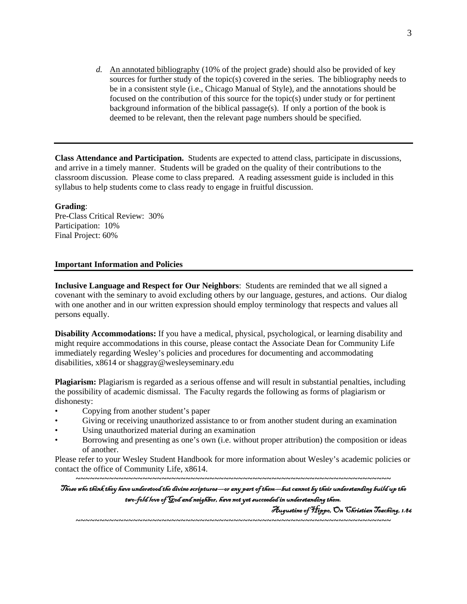*d.* An annotated bibliography (10% of the project grade) should also be provided of key sources for further study of the topic(s) covered in the series. The bibliography needs to be in a consistent style (i.e., Chicago Manual of Style), and the annotations should be focused on the contribution of this source for the topic(s) under study or for pertinent background information of the biblical passage(s). If only a portion of the book is deemed to be relevant, then the relevant page numbers should be specified.

**Class Attendance and Participation.** Students are expected to attend class, participate in discussions, and arrive in a timely manner. Students will be graded on the quality of their contributions to the classroom discussion. Please come to class prepared. A reading assessment guide is included in this syllabus to help students come to class ready to engage in fruitful discussion.

**Grading**:

Pre-Class Critical Review: 30% Participation: 10% Final Project: 60%

### **Important Information and Policies**

**Inclusive Language and Respect for Our Neighbors**: Students are reminded that we all signed a covenant with the seminary to avoid excluding others by our language, gestures, and actions. Our dialog with one another and in our written expression should employ terminology that respects and values all persons equally.

**Disability Accommodations:** If you have a medical, physical, psychological, or learning disability and might require accommodations in this course, please contact the Associate Dean for Community Life immediately regarding Wesley's policies and procedures for documenting and accommodating disabilities, x8614 or shaggray@wesleyseminary.edu

**Plagiarism:** Plagiarism is regarded as a serious offense and will result in substantial penalties, including the possibility of academic dismissal. The Faculty regards the following as forms of plagiarism or dishonesty:

- Copying from another student's paper
- Giving or receiving unauthorized assistance to or from another student during an examination
- Using unauthorized material during an examination
- Borrowing and presenting as one's own (i.e. without proper attribution) the composition or ideas of another.

Please refer to your Wesley Student Handbook for more information about Wesley's academic policies or contact the office of Community Life, x8614.

*~~~~~~~~~~~~~~~~~~~~~~~~~~~~~~~~~~~~~~~~~~~~~~~~~~~~~~~~~~~~~~~~~~*  Those who think they have understood the divine scriptures—or any part of them—but cannot by their understanding build up the two-fold love of God and neighbor, have not yet succeeded in understanding them.

*~~~~~~~~~~~~~~~~~~~~~~~~~~~~~~~~~~~~~~~~~~~~~~~~~~~~~~~~~~~~~~~~~~* 

Augustine of Hippo, On Christian Teaching, 1.86